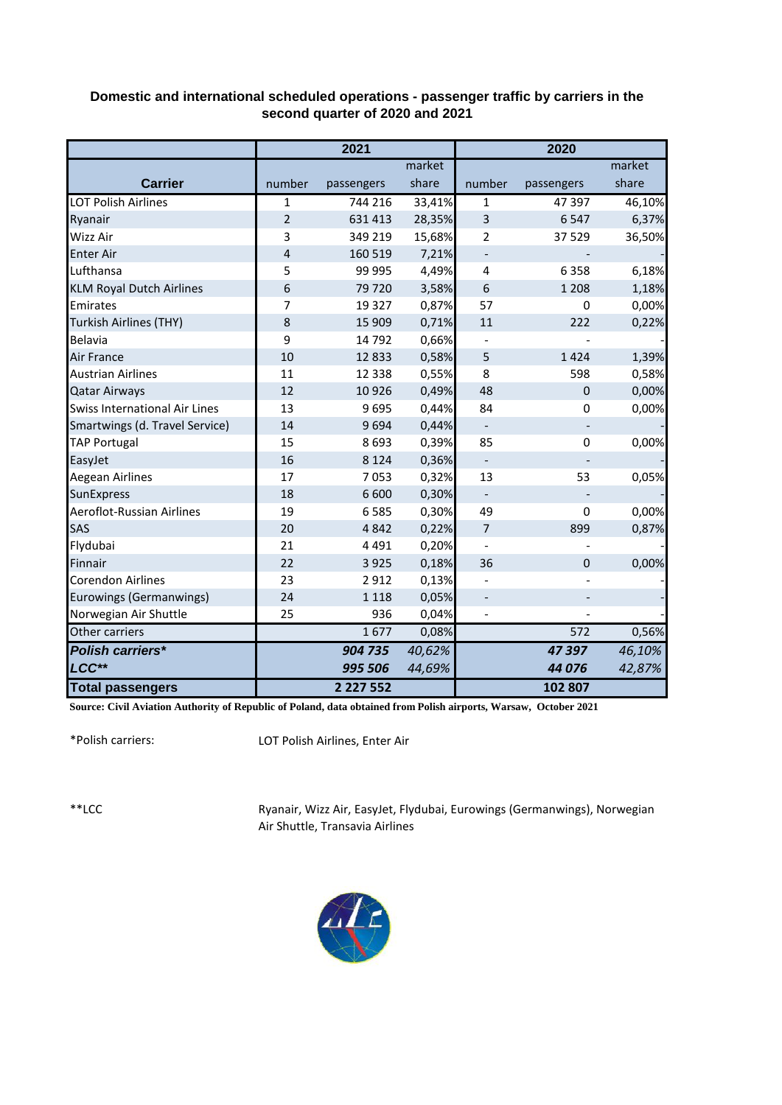| Domestic and international scheduled operations - passenger traffic by carriers in the |
|----------------------------------------------------------------------------------------|
| second quarter of 2020 and 2021                                                        |

|                                      | 2021           |               |        | 2020                     |                          |        |
|--------------------------------------|----------------|---------------|--------|--------------------------|--------------------------|--------|
|                                      |                |               | market |                          |                          | market |
| <b>Carrier</b>                       | number         | passengers    | share  | number                   | passengers               | share  |
| <b>LOT Polish Airlines</b>           | $\mathbf{1}$   | 744 216       | 33,41% | $\mathbf{1}$             | 47 397                   | 46,10% |
| Ryanair                              | $\overline{2}$ | 631 413       | 28,35% | 3                        | 6547                     | 6,37%  |
| <b>Wizz Air</b>                      | 3              | 349 219       | 15,68% | 2                        | 37 529                   | 36,50% |
| <b>Enter Air</b>                     | 4              | 160 519       | 7,21%  | $\overline{\phantom{a}}$ |                          |        |
| Lufthansa                            | 5              | 99 995        | 4,49%  | 4                        | 6358                     | 6,18%  |
| <b>KLM Royal Dutch Airlines</b>      | 6              | 79720         | 3,58%  | 6                        | 1 2 0 8                  | 1,18%  |
| Emirates                             | $\overline{7}$ | 19 3 27       | 0,87%  | 57                       | $\mathbf 0$              | 0,00%  |
| Turkish Airlines (THY)               | 8              | 15 909        | 0,71%  | 11                       | 222                      | 0,22%  |
| <b>Belavia</b>                       | 9              | 14792         | 0,66%  |                          |                          |        |
| <b>Air France</b>                    | 10             | 12833         | 0,58%  | 5                        | 1424                     | 1,39%  |
| <b>Austrian Airlines</b>             | 11             | 12 3 38       | 0,55%  | 8                        | 598                      | 0,58%  |
| <b>Qatar Airways</b>                 | 12             | 10926         | 0,49%  | 48                       | $\mathbf 0$              | 0,00%  |
| <b>Swiss International Air Lines</b> | 13             | 9695          | 0,44%  | 84                       | 0                        | 0,00%  |
| Smartwings (d. Travel Service)       | 14             | 9694          | 0,44%  | $\overline{\phantom{a}}$ | $\overline{\phantom{a}}$ |        |
| <b>TAP Portugal</b>                  | 15             | 8693          | 0,39%  | 85                       | $\mathbf 0$              | 0,00%  |
| EasyJet                              | 16             | 8 1 2 4       | 0,36%  |                          |                          |        |
| <b>Aegean Airlines</b>               | 17             | 7053          | 0,32%  | 13                       | 53                       | 0,05%  |
| SunExpress                           | 18             | 6 600         | 0,30%  | $\overline{\phantom{a}}$ |                          |        |
| Aeroflot-Russian Airlines            | 19             | 6585          | 0,30%  | 49                       | $\mathbf 0$              | 0,00%  |
| SAS                                  | 20             | 4842          | 0,22%  | 7                        | 899                      | 0,87%  |
| Flydubai                             | 21             | 4 4 9 1       | 0,20%  | $\overline{\phantom{a}}$ |                          |        |
| Finnair                              | 22             | 3 9 2 5       | 0,18%  | 36                       | $\Omega$                 | 0,00%  |
| <b>Corendon Airlines</b>             | 23             | 2912          | 0,13%  |                          |                          |        |
| Eurowings (Germanwings)              | 24             | 1 1 1 8       | 0,05%  |                          |                          |        |
| Norwegian Air Shuttle                | 25             | 936           | 0,04%  |                          |                          |        |
| Other carriers                       |                | 1677          | 0,08%  |                          | 572                      | 0,56%  |
| <b>Polish carriers*</b>              |                | 904 735       | 40,62% |                          | 47397                    | 46,10% |
| LCC**                                |                | 995 506       | 44,69% |                          | 44 076                   | 42,87% |
| <b>Total passengers</b>              |                | 2 2 2 7 5 5 2 |        |                          | 102 807                  |        |

**Source: Civil Aviation Authority of Republic of Poland, data obtained from Polish airports, Warsaw, October 2021**

\*Polish carriers:

LOT Polish Airlines, Enter Air

\*\*LCC

Ryanair, Wizz Air, EasyJet, Flydubai, Eurowings (Germanwings), Norwegian Air Shuttle, Transavia Airlines